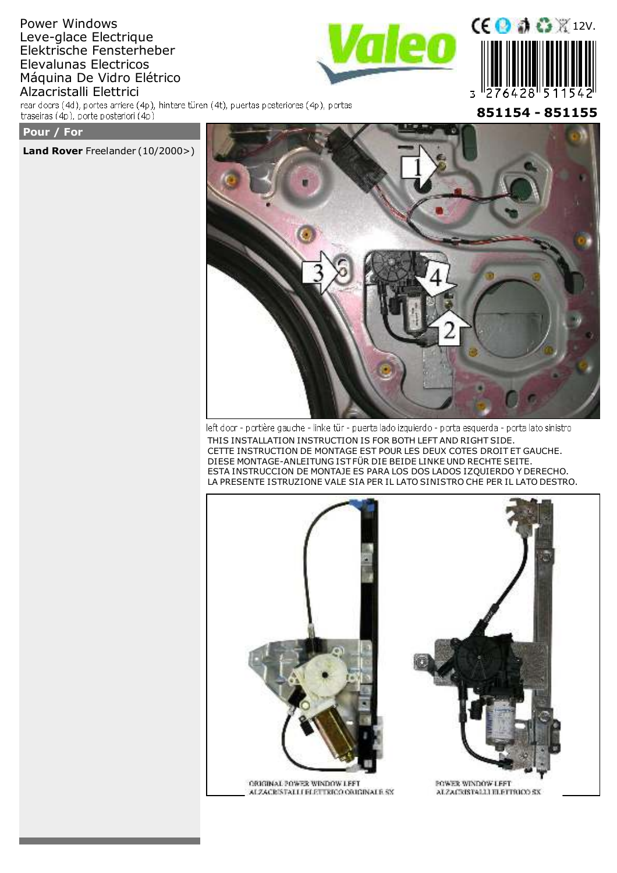# Power Windows Leve-glace Electrique Elektrische Fensterheber Elevalunas Electricos Máquina De Vidro Elétrico Alzacristalli Elettrici

rear doors (4d), portes arriere (4p), hintere türen (4t), puertas posteriores (4p), portas traseiras (4p), porte posteriori (4p)



**851154 - 851155**

**Pour / For**

**Land Rover**

**Land Rover** Freelander (10/2000>)



left door - portière gauche - linke tür - puerta lado izquierdo - porta esquerda - porta lato sinistro THIS INSTALLATION INSTRUCTION IS FOR BOTH LEFT AND RIGHT SIDE. CETTE INSTRUCTION DE MONTAGE EST POUR LES DEUX COTES DROIT ET GAUCHE. DIESE MONTAGE-ANLEITUNG IST FÜR DIE BEIDE LINKE UND RECHTE SEITE. ESTA INSTRUCCION DE MONTAJE ES PARA LOS DOS LADOS IZQUIERDO Y DERECHO. LA PRESENTE ISTRUZIONE VALE SIA PER IL LATO SINISTRO CHE PER IL LATO DESTRO.